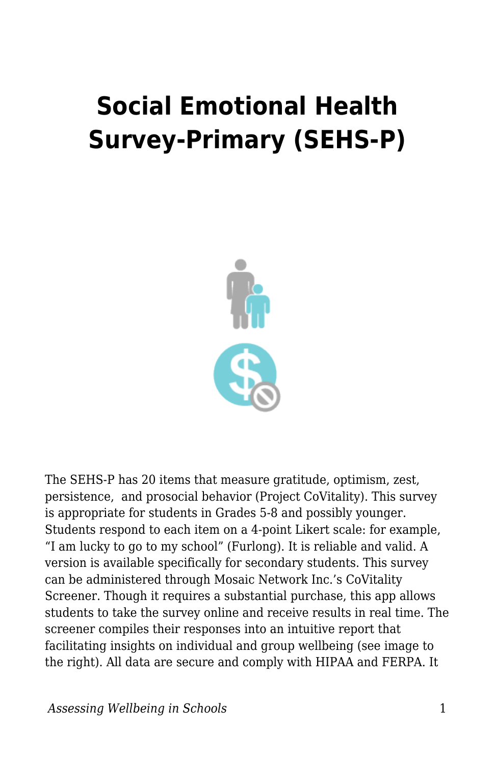## **Social Emotional Health Survey-Primary (SEHS-P)**



The SEHS-P has 20 items that measure gratitude, optimism, zest, persistence, and prosocial behavior (Project CoVitality). This survey is appropriate for students in Grades 5-8 and possibly younger. Students respond to each item on a 4-point Likert scale: for example, "I am lucky to go to my school" (Furlong). It is reliable and valid. A version is available specifically for secondary students. This survey can be administered through Mosaic Network Inc.'s CoVitality Screener. Though it requires a substantial purchase, this app allows students to take the survey online and receive results in real time. The screener compiles their responses into an intuitive report that facilitating insights on individual and group wellbeing (see image to the right). All data are secure and comply with HIPAA and FERPA. It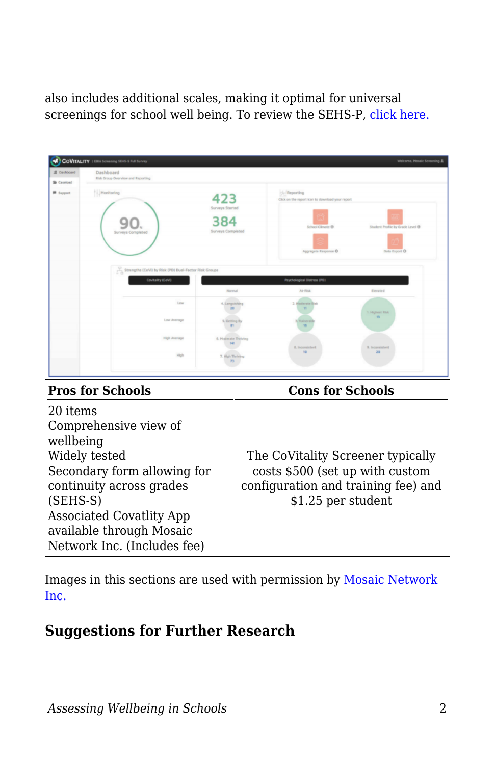also includes additional scales, making it optimal for universal screenings for school well being. To review the SEHS-P, [click here.](https://ucsbeducation.az1.qualtrics.com/jfe/form/SV_8CWzF8RaxjMLpzL?Q_JFE=qdg)

| E Dashboard         | Dashboard                                             |                             |                                                                  |                                  |
|---------------------|-------------------------------------------------------|-----------------------------|------------------------------------------------------------------|----------------------------------|
| <b>Sir</b> Caseload | Risk Group Overview and Reporting                     |                             |                                                                  |                                  |
| <b>III</b> Support  | Henitoring                                            | 423                         | No Reporting<br>Click on the report icon to download your report |                                  |
|                     |                                                       | Surveys Started             |                                                                  |                                  |
|                     | Surveys Completed                                     | 384<br>Surveys Completed    | School Climate ®                                                 | Student Profile by Grade Level ® |
|                     |                                                       |                             |                                                                  |                                  |
|                     |                                                       |                             |                                                                  |                                  |
|                     | Strengths (CoVI) by Risk (PD) Dual-Factor Risk Groups |                             | Aggregate Response ®                                             | Data Export ®                    |
|                     | Covitality (CoVi)                                     | Normal                      | Psychological Distress (PO)<br>At-Risk                           | Elevated                         |
|                     | Low                                                   | 4. Langulshing              | 2. Moderate Risk                                                 |                                  |
|                     | Low Average                                           | 20<br>5. Getting By         | 11<br><b>Winerab</b>                                             | 1. Highest Risk<br>13            |
|                     |                                                       | an                          | 15 <sup>°</sup>                                                  |                                  |
|                     | High Average                                          | 6. Moderate Thinking<br>141 | R. Inconsistent<br>10                                            | 9. Inconsistent<br>20            |

**Pros for Schools Cons for Schools**

20 items Comprehensive view of wellbeing Widely tested Secondary form allowing for continuity across grades (SEHS-S) Associated Covatlity App available through Mosaic Network Inc. (Includes fee)

The CoVitality Screener typically costs \$500 (set up with custom configuration and training fee) and \$1.25 per student

Images in this sections are used with permission b[y Mosaic Network](http://www.covitalityapp.com/) [Inc.](http://www.covitalityapp.com/)

## **Suggestions for Further Research**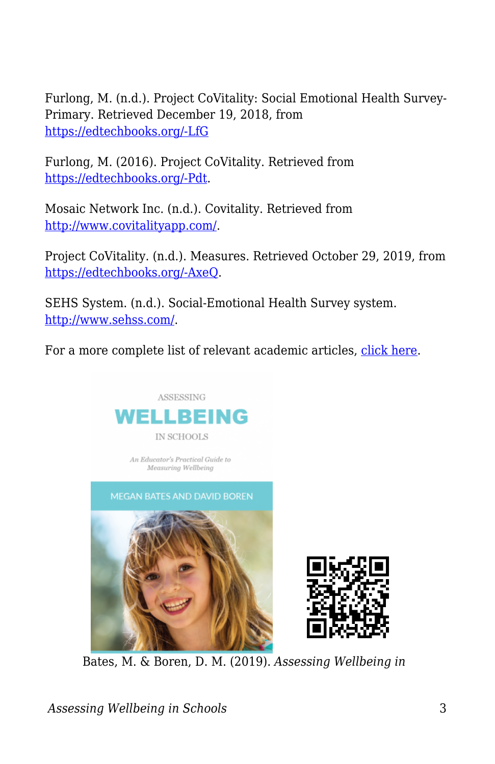Furlong, M. (n.d.). Project CoVitality: Social Emotional Health Survey-Primary. Retrieved December 19, 2018, from [https://edtechbooks.org/-LfG](http://www.project-covitality.a2hosted.com/surveys/social-emotional-health.html)

Furlong, M. (2016). Project CoVitality. Retrieved from [https://edtechbooks.org/-Pdt.](http://www.project-covitality.info/)

Mosaic Network Inc. (n.d.). Covitality. Retrieved from <http://www.covitalityapp.com/>.

Project CoVitality. (n.d.). Measures. Retrieved October 29, 2019, from [https://edtechbooks.org/-AxeQ.](https://www.covitalityucsb.info/sehs-measures/index.html)

SEHS System. (n.d.). Social-Emotional Health Survey system. [http://www.sehss.com/.](http://www.sehss.com/)

For a more complete list of relevant academic articles, [click here.](https://www.researchgate.net/publication/330335372_Social_Emotional_Health_Survey_System_Publications_Project_Covitality_A_school_mental_wellness_and_thriving_student_development_initiative_Gevirtz_Graduate_School_of_Education_International_Center_for)





Bates, M. & Boren, D. M. (2019). *Assessing Wellbeing in*

*Assessing Wellbeing in Schools* 3